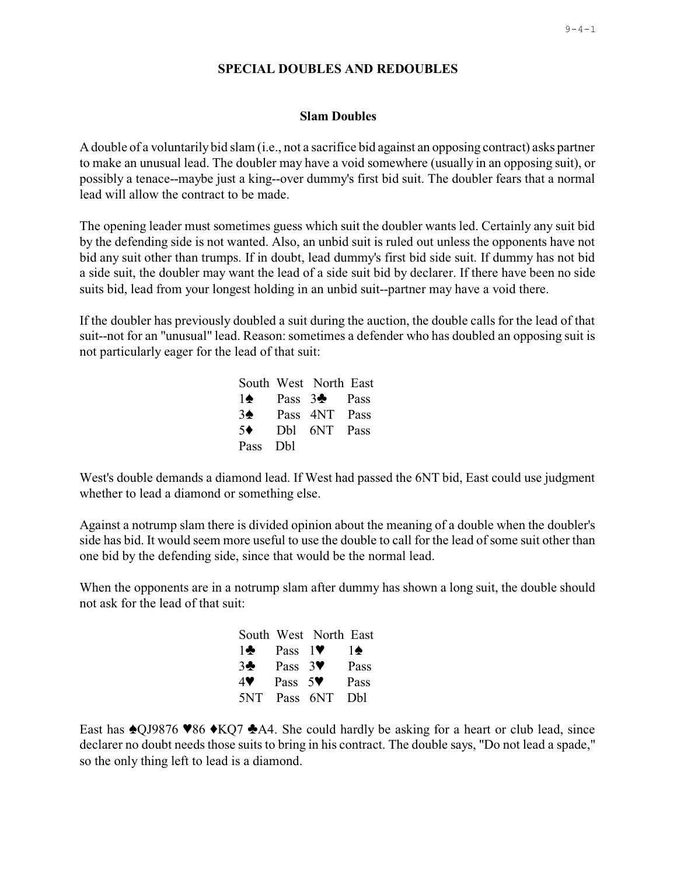# **SPECIAL DOUBLES AND REDOUBLES**

## **Slam Doubles**

A double of a voluntarily bid slam (i.e., not a sacrifice bid against an opposing contract) asks partner to make an unusual lead. The doubler may have a void somewhere (usually in an opposing suit), or possibly a tenace--maybe just a king--over dummy's first bid suit. The doubler fears that a normal lead will allow the contract to be made.

The opening leader must sometimes guess which suit the doubler wants led. Certainly any suit bid by the defending side is not wanted. Also, an unbid suit is ruled out unless the opponents have not bid any suit other than trumps. If in doubt, lead dummy's first bid side suit. If dummy has not bid a side suit, the doubler may want the lead of a side suit bid by declarer. If there have been no side suits bid, lead from your longest holding in an unbid suit--partner may have a void there.

If the doubler has previously doubled a suit during the auction, the double calls for the lead of that suit--not for an "unusual" lead. Reason: sometimes a defender who has doubled an opposing suit is not particularly eager for the lead of that suit:

|                | South West North East    |  |
|----------------|--------------------------|--|
| 1♠             | Pass 3 <sup>+</sup> Pass |  |
| $3\spadesuit$  | Pass 4NT Pass            |  |
| 5 <sup>4</sup> | Dbl 6NT Pass             |  |
| Pass Dbl       |                          |  |

West's double demands a diamond lead. If West had passed the 6NT bid, East could use judgment whether to lead a diamond or something else.

Against a notrump slam there is divided opinion about the meaning of a double when the doubler's side has bid. It would seem more useful to use the double to call for the lead of some suit other than one bid by the defending side, since that would be the normal lead.

When the opponents are in a notrump slam after dummy has shown a long suit, the double should not ask for the lead of that suit:

|              |                            | South West North East |            |
|--------------|----------------------------|-----------------------|------------|
| $1\clubsuit$ | Pass $1$ .                 |                       | 10         |
| 3            | Pass $3\blacktriangledown$ |                       | Pass       |
| 4♥           | Pass $5\blacktriangledown$ |                       | Pass       |
| 5NT          | Pass 6NT                   |                       | <b>Dhl</b> |

East has  $\triangle$ QJ9876  $\blacktriangleright$ 86  $\triangle$ KQ7  $\triangle$ A4. She could hardly be asking for a heart or club lead, since declarer no doubt needs those suits to bring in his contract. The double says, "Do not lead a spade," so the only thing left to lead is a diamond.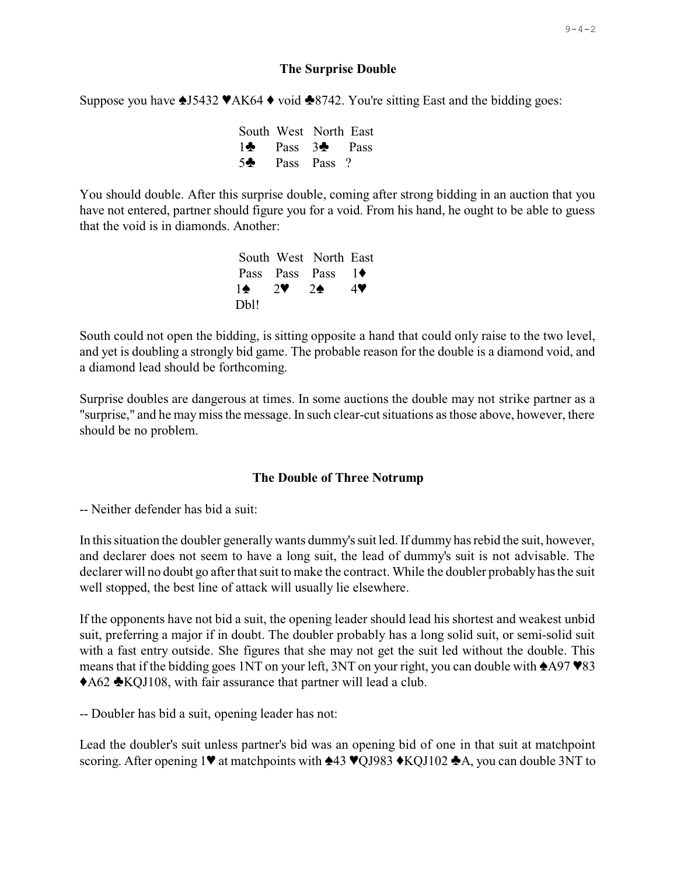#### **The Surprise Double**

Suppose you have  $\triangle$  15432  $\blacktriangledown$ AK64  $\blacklozenge$  void  $\triangle$ 8742. You're sitting East and the bidding goes:

|  | South West North East           |  |
|--|---------------------------------|--|
|  | $1\bullet$ Pass $3\bullet$ Pass |  |
|  | $5\clubsuit$ Pass Pass ?        |  |

You should double. After this surprise double, coming after strong bidding in an auction that you have not entered, partner should figure you for a void. From his hand, he ought to be able to guess that the void is in diamonds. Another:

|                               | South West North East           |    |
|-------------------------------|---------------------------------|----|
|                               | Pass Pass Pass $1\blacklozenge$ |    |
| $1 \spadesuit$ 2 $\spadesuit$ | $2^{\bullet}$                   | 47 |
| Db!!                          |                                 |    |

South could not open the bidding, is sitting opposite a hand that could only raise to the two level, and yet is doubling a strongly bid game. The probable reason for the double is a diamond void, and a diamond lead should be forthcoming.

Surprise doubles are dangerous at times. In some auctions the double may not strike partner as a "surprise," and he may miss the message. In such clear-cut situations as those above, however, there should be no problem.

#### The Double of Three Notrump

-- Neither defender has bid a suit:

In this situation the doubler generally wants dummy's suit led. If dummy has rebid the suit, however, and declarer does not seem to have a long suit, the lead of dummy's suit is not advisable. The declarer will no doubt go after that suit to make the contract. While the doubler probably has the suit well stopped, the best line of attack will usually lie elsewhere.

If the opponents have not bid a suit, the opening leader should lead his shortest and weakest unbid suit, preferring a major if in doubt. The doubler probably has a long solid suit, or semi-solid suit with a fast entry outside. She figures that she may not get the suit led without the double. This means that if the bidding goes 1NT on your left, 3NT on your right, you can double with  $\triangle$ A97  $\blacktriangledown$ 83 ◆A62 ◆KOJ108, with fair assurance that partner will lead a club.

-- Doubler has bid a suit, opening leader has not:

Lead the doubler's suit unless partner's bid was an opening bid of one in that suit at matchpoint scoring. After opening 1♥ at matchpoints with  $\triangle 43 \space \blacktriangledown QJ983 \blacktriangle KQJ102 \triangle A$ , you can double 3NT to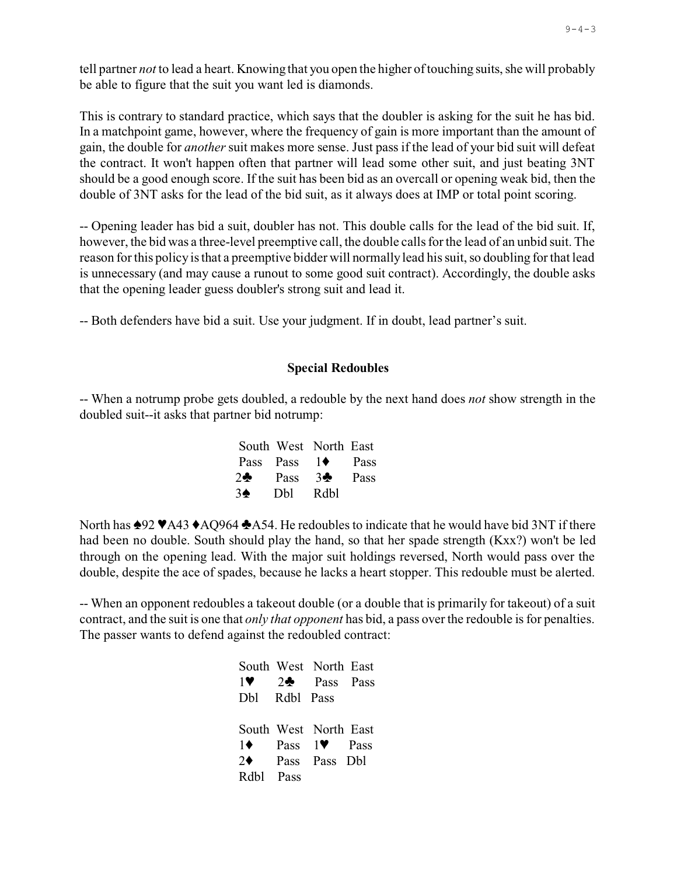tell partner *not* to lead a heart. Knowing that you open the higher oftouching suits, she will probably be able to figure that the suit you want led is diamonds.

This is contrary to standard practice, which says that the doubler is asking for the suit he has bid. In a matchpoint game, however, where the frequency of gain is more important than the amount of gain, the double for *another* suit makes more sense. Just pass if the lead of your bid suit will defeat the contract. It won't happen often that partner will lead some other suit, and just beating 3NT should be a good enough score. If the suit has been bid as an overcall or opening weak bid, then the double of 3NT asks for the lead of the bid suit, as it always does at IMP or total point scoring.

-- Opening leader has bid a suit, doubler has not. This double calls for the lead of the bid suit. If, however, the bid was a three-level preemptive call, the double calls for the lead of an unbid suit. The reason for this policy is that a preemptive bidder will normally lead his suit, so doubling for that lead is unnecessary (and may cause a runout to some good suit contract). Accordingly, the double asks that the opening leader guess doubler's strong suit and lead it.

-- Both defenders have bid a suit. Use your judgment. If in doubt, lead partner's suit.

### **Special Redoubles**

-- When a notrump probe gets doubled, a redouble by the next hand does *not* show strength in the doubled suit--it asks that partner bid notrump:

| South West North East               |  |
|-------------------------------------|--|
| Pass Pass $1 \blacklozenge$ Pass    |  |
| $2\clubsuit$ Pass $3\clubsuit$ Pass |  |
| $3\spadesuit$ Dbl Rdbl              |  |

North has  $\triangle 92 \blacktriangleright$ A43  $\triangle$ AQ964  $\triangle$ A54. He redoubles to indicate that he would have bid 3NT if there had been no double. South should play the hand, so that her spade strength (Kxx?) won't be led through on the opening lead. With the major suit holdings reversed, North would pass over the double, despite the ace of spades, because he lacks a heart stopper. This redouble must be alerted.

-- When an opponent redoubles a takeout double (or a double that is primarily for takeout) of a suit contract, and the suit is one that *only that opponent* has bid, a pass over the redouble is for penalties. The passer wants to defend against the redoubled contract:

|               | South West North East                            |  |
|---------------|--------------------------------------------------|--|
| 1 V           | $2\clubsuit$ Pass Pass                           |  |
| Dbl Rdbl Pass |                                                  |  |
|               |                                                  |  |
|               | South West North East                            |  |
|               | $1\blacklozenge$ Pass $1\blacktriangledown$ Pass |  |
|               | $2\blacklozenge$ Pass Pass Dbl                   |  |
| Rdbl Pass     |                                                  |  |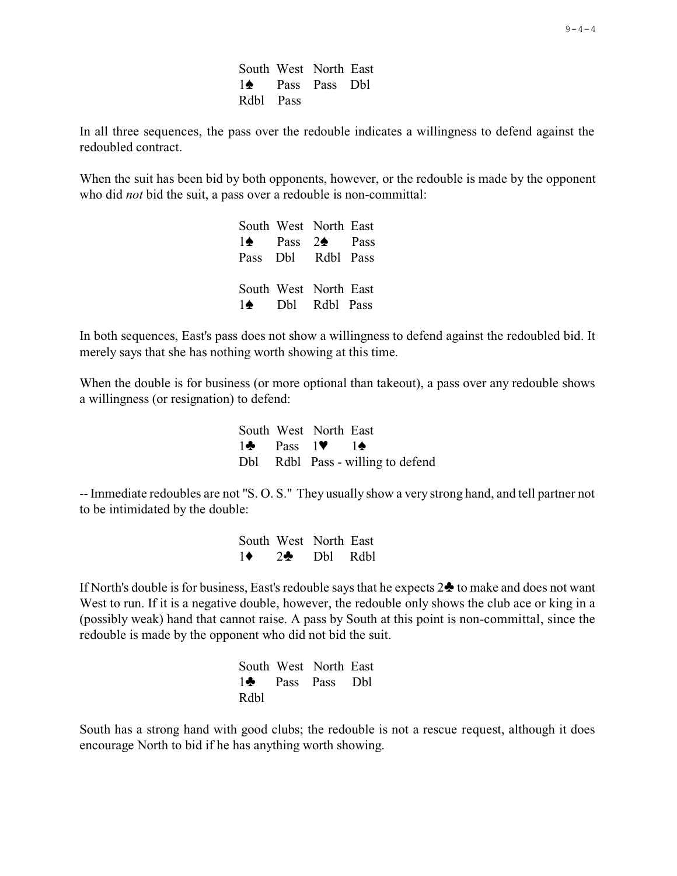South West North East 1<sup> $\bullet$ </sup> Pass Pass Dbl Rdbl Pass

In all three sequences, the pass over the redouble indicates a willingness to defend against the redoubled contract.

When the suit has been bid by both opponents, however, or the redouble is made by the opponent who did *not* bid the suit, a pass over a redouble is non-committal:

> South West North East  $1\spadesuit$  Pass  $2\spadesuit$  Pass Pass Dbl Rdbl Pass South West North East 1<sup> $\bullet$ </sup> Dbl Rdbl Pass

In both sequences, East's pass does not show a willingness to defend against the redoubled bid. It merely says that she has nothing worth showing at this time.

When the double is for business (or more optional than takeout), a pass over any redouble shows a willingness (or resignation) to defend:

|  | South West North East                                 |                                   |
|--|-------------------------------------------------------|-----------------------------------|
|  | $1\clubsuit$ Pass $1\blacktriangledown$ $1\spadesuit$ |                                   |
|  |                                                       | Dbl Rdbl Pass - willing to defend |

-- Immediate redoubles are not "S. O. S." They usually show a very strong hand, and tell partner not to be intimidated by the double:

> South West North East  $1 \bullet 2 \bullet 1$  Dbl Rdbl

If North's double is for business, East's redouble says that he expects  $2\clubsuit$  to make and does not want West to run. If it is a negative double, however, the redouble only shows the club ace or king in a (possibly weak) hand that cannot raise. A pass by South at this point is non-committal, since the redouble is made by the opponent who did not bid the suit.

|      | South West North East        |  |
|------|------------------------------|--|
|      | 1 <sup>2</sup> Pass Pass Dbl |  |
| Rdbl |                              |  |

South has a strong hand with good clubs; the redouble is not a rescue request, although it does encourage North to bid if he has anything worth showing.